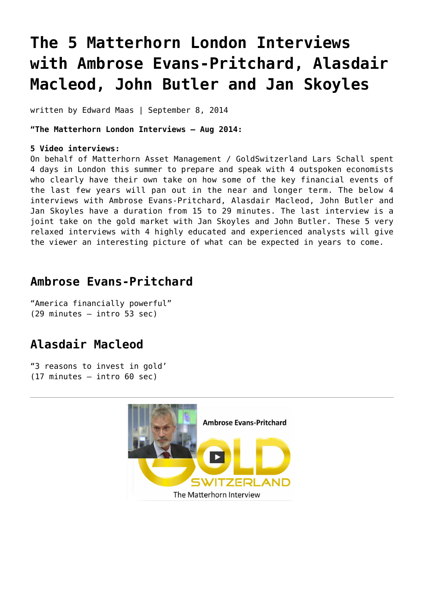# **[The 5 Matterhorn London Interviews](https://goldswitzerland.com/the-5-matterhorn-london-interviews-with-ambrose-evans-pritchard-alasdair-macleod-john-butler-and-jan-skoyles/) [with Ambrose Evans-Pritchard, Alasdair](https://goldswitzerland.com/the-5-matterhorn-london-interviews-with-ambrose-evans-pritchard-alasdair-macleod-john-butler-and-jan-skoyles/) [Macleod, John Butler and Jan Skoyles](https://goldswitzerland.com/the-5-matterhorn-london-interviews-with-ambrose-evans-pritchard-alasdair-macleod-john-butler-and-jan-skoyles/)**

written by Edward Maas | September 8, 2014

**"The Matterhorn London Interviews – Aug 2014:**

#### **5 Video interviews:**

On behalf of Matterhorn Asset Management / GoldSwitzerland Lars Schall spent 4 days in London this summer to prepare and speak with 4 outspoken economists who clearly have their own take on how some of the key financial events of the last few years will pan out in the near and longer term. The below 4 interviews with Ambrose Evans-Pritchard, Alasdair Macleod, John Butler and Jan Skoyles have a duration from 15 to 29 minutes. The last interview is a joint take on the gold market with Jan Skoyles and John Butler. These 5 very relaxed interviews with 4 highly educated and experienced analysts will give the viewer an interesting picture of what can be expected in years to come.

#### **Ambrose Evans-Pritchard**

"America financially powerful" (29 minutes – intro 53 sec)

#### **Alasdair Macleod**

"3 reasons to invest in gold' (17 minutes – intro 60 sec)

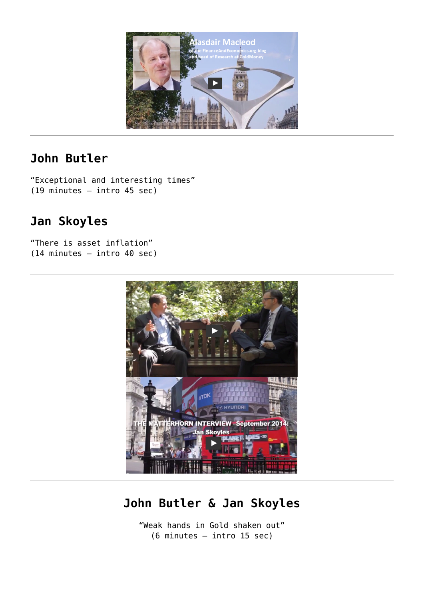

#### **John Butler**

"Exceptional and interesting times" (19 minutes – intro 45 sec)

## **Jan Skoyles**

"There is asset inflation" (14 minutes – intro 40 sec)



## **John Butler & Jan Skoyles**

"Weak hands in Gold shaken out" (6 minutes – intro 15 sec)